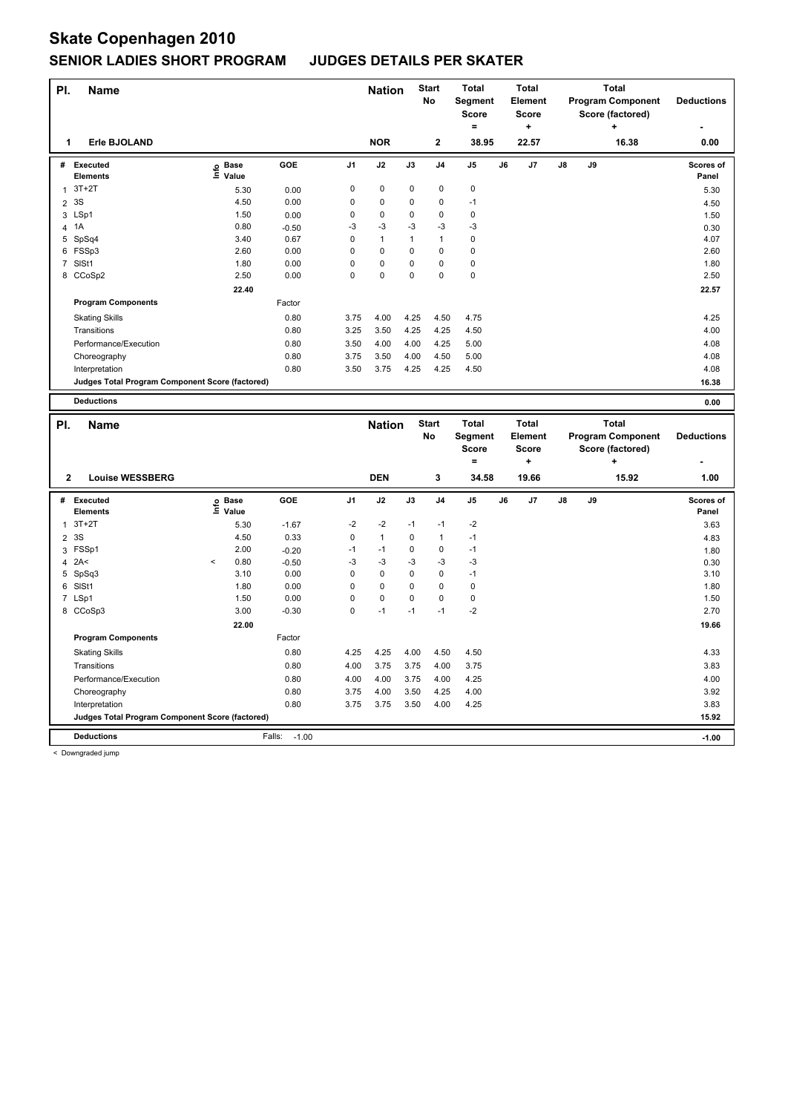# **Skate Copenhagen 2010 SENIOR LADIES SHORT PROGRAM JUDGES DETAILS PER SKATER**

| PI.            | <b>Name</b>                                     |                            |         |                | <b>Nation</b> |              | <b>Start</b><br><b>No</b> | <b>Total</b><br><b>Segment</b><br>Score<br>Ξ.  |    | <b>Total</b><br>Element<br>Score<br>÷               | <b>Total</b><br><b>Program Component</b><br>Score (factored)<br>÷ |    | <b>Deductions</b>                                                 |                    |
|----------------|-------------------------------------------------|----------------------------|---------|----------------|---------------|--------------|---------------------------|------------------------------------------------|----|-----------------------------------------------------|-------------------------------------------------------------------|----|-------------------------------------------------------------------|--------------------|
| 1              | Erle BJOLAND                                    |                            |         |                | <b>NOR</b>    |              | $\mathbf{2}$              | 38.95                                          |    | 22.57                                               |                                                                   |    | 16.38                                                             | 0.00               |
| #              | <b>Executed</b><br><b>Elements</b>              | e Base<br>⊑ Value<br>Value | GOE     | J <sub>1</sub> | J2            | J3           | J <sub>4</sub>            | J <sub>5</sub>                                 | J6 | J7                                                  | J8                                                                | J9 |                                                                   | Scores of<br>Panel |
| 1              | $3T+2T$                                         | 5.30                       | 0.00    | 0              | $\mathbf 0$   | $\mathbf 0$  | 0                         | $\pmb{0}$                                      |    |                                                     |                                                                   |    |                                                                   | 5.30               |
| $\overline{2}$ | 3S                                              | 4.50                       | 0.00    | 0              | 0             | 0            | 0                         | $-1$                                           |    |                                                     |                                                                   |    |                                                                   | 4.50               |
|                | 3 LSp1                                          | 1.50                       | 0.00    | 0              | 0             | 0            | 0                         | $\mathbf 0$                                    |    |                                                     |                                                                   |    |                                                                   | 1.50               |
| 4              | 1A                                              | 0.80                       | $-0.50$ | $-3$           | $-3$          | $-3$         | $-3$                      | $-3$                                           |    |                                                     |                                                                   |    |                                                                   | 0.30               |
|                | 5 SpSq4                                         | 3.40                       | 0.67    | 0              | $\mathbf{1}$  | $\mathbf{1}$ | $\mathbf{1}$              | 0                                              |    |                                                     |                                                                   |    |                                                                   | 4.07               |
|                | 6 FSSp3                                         | 2.60                       | 0.00    | 0              | 0             | 0            | 0                         | 0                                              |    |                                                     |                                                                   |    |                                                                   | 2.60               |
|                | 7 SISt1                                         | 1.80                       | 0.00    | $\Omega$       | 0             | 0            | $\Omega$                  | $\pmb{0}$                                      |    |                                                     |                                                                   |    |                                                                   | 1.80               |
|                | 8 CCoSp2                                        | 2.50                       | 0.00    | 0              | 0             | 0            | 0                         | 0                                              |    |                                                     |                                                                   |    |                                                                   | 2.50               |
|                |                                                 | 22.40                      |         |                |               |              |                           |                                                |    |                                                     |                                                                   |    |                                                                   | 22.57              |
|                | <b>Program Components</b>                       |                            | Factor  |                |               |              |                           |                                                |    |                                                     |                                                                   |    |                                                                   |                    |
|                | <b>Skating Skills</b>                           |                            | 0.80    | 3.75           | 4.00          | 4.25         | 4.50                      | 4.75                                           |    |                                                     |                                                                   |    |                                                                   | 4.25               |
|                | Transitions                                     |                            | 0.80    | 3.25           | 3.50          | 4.25         | 4.25                      | 4.50                                           |    |                                                     |                                                                   |    |                                                                   | 4.00               |
|                | Performance/Execution                           |                            | 0.80    | 3.50           | 4.00          | 4.00         | 4.25                      | 5.00                                           |    |                                                     |                                                                   |    |                                                                   | 4.08               |
|                | Choreography                                    |                            | 0.80    | 3.75           | 3.50          | 4.00         | 4.50                      | 5.00                                           |    |                                                     |                                                                   |    |                                                                   | 4.08               |
|                | Interpretation                                  |                            | 0.80    | 3.50           | 3.75          | 4.25         | 4.25                      | 4.50                                           |    |                                                     |                                                                   |    |                                                                   | 4.08               |
|                | Judges Total Program Component Score (factored) |                            |         |                |               |              |                           |                                                |    |                                                     |                                                                   |    |                                                                   | 16.38              |
|                | <b>Deductions</b>                               |                            |         |                |               |              |                           |                                                |    |                                                     |                                                                   |    |                                                                   | 0.00               |
| PI.            | <b>Name</b>                                     |                            |         |                | <b>Nation</b> |              | <b>Start</b><br>No        | <b>Total</b><br>Segment<br><b>Score</b><br>$=$ |    | <b>Total</b><br><b>Element</b><br><b>Score</b><br>٠ |                                                                   |    | <b>Total</b><br><b>Program Component</b><br>Score (factored)<br>٠ | <b>Deductions</b>  |

|                |                                                 |         |                   |                   |                |              |          |                | $=$            |    | ÷              |               |    | ÷     | $\overline{\phantom{0}}$  |
|----------------|-------------------------------------------------|---------|-------------------|-------------------|----------------|--------------|----------|----------------|----------------|----|----------------|---------------|----|-------|---------------------------|
| $\overline{2}$ | <b>Louise WESSBERG</b>                          |         |                   |                   |                | <b>DEN</b>   |          | 3              | 34.58          |    | 19.66          |               |    | 15.92 | 1.00                      |
| #              | <b>Executed</b><br><b>Elements</b>              |         | e Base<br>⊆ Value | GOE               | J <sub>1</sub> | J2           | J3       | J <sub>4</sub> | J <sub>5</sub> | J6 | J <sub>7</sub> | $\mathsf{J}8$ | J9 |       | <b>Scores of</b><br>Panel |
| 1              | $3T+2T$                                         |         | 5.30              | $-1.67$           | $-2$           | $-2$         | $-1$     | $-1$           | $-2$           |    |                |               |    |       | 3.63                      |
| $\overline{2}$ | 3S                                              |         | 4.50              | 0.33              | $\mathbf 0$    | $\mathbf{1}$ | $\Omega$ | 1              | $-1$           |    |                |               |    |       | 4.83                      |
| 3              | FSSp1                                           |         | 2.00              | $-0.20$           | $-1$           | $-1$         | $\Omega$ | 0              | $-1$           |    |                |               |    |       | 1.80                      |
| 4              | 2A<                                             | $\prec$ | 0.80              | $-0.50$           | $-3$           | $-3$         | $-3$     | $-3$           | $-3$           |    |                |               |    |       | 0.30                      |
| 5              | SpSq3                                           |         | 3.10              | 0.00              | 0              | $\mathbf 0$  | 0        | 0              | $-1$           |    |                |               |    |       | 3.10                      |
| 6              | SISt1                                           |         | 1.80              | 0.00              | 0              | $\mathbf 0$  | 0        | 0              | 0              |    |                |               |    |       | 1.80                      |
|                | 7 LSp1                                          |         | 1.50              | 0.00              | $\Omega$       | $\mathbf 0$  | $\Omega$ | $\Omega$       | $\mathbf 0$    |    |                |               |    |       | 1.50                      |
|                | 8 CCoSp3                                        |         | 3.00              | $-0.30$           | $\mathbf 0$    | $-1$         | $-1$     | $-1$           | $-2$           |    |                |               |    |       | 2.70                      |
|                |                                                 |         | 22.00             |                   |                |              |          |                |                |    |                |               |    |       | 19.66                     |
|                | <b>Program Components</b>                       |         |                   | Factor            |                |              |          |                |                |    |                |               |    |       |                           |
|                | <b>Skating Skills</b>                           |         |                   | 0.80              | 4.25           | 4.25         | 4.00     | 4.50           | 4.50           |    |                |               |    |       | 4.33                      |
|                | Transitions                                     |         |                   | 0.80              | 4.00           | 3.75         | 3.75     | 4.00           | 3.75           |    |                |               |    |       | 3.83                      |
|                | Performance/Execution                           |         |                   | 0.80              | 4.00           | 4.00         | 3.75     | 4.00           | 4.25           |    |                |               |    |       | 4.00                      |
|                | Choreography                                    |         |                   | 0.80              | 3.75           | 4.00         | 3.50     | 4.25           | 4.00           |    |                |               |    |       | 3.92                      |
|                | Interpretation                                  |         |                   | 0.80              | 3.75           | 3.75         | 3.50     | 4.00           | 4.25           |    |                |               |    |       | 3.83                      |
|                | Judges Total Program Component Score (factored) |         |                   |                   |                |              |          |                |                |    |                |               |    |       | 15.92                     |
|                | <b>Deductions</b>                               |         |                   | Falls:<br>$-1.00$ |                |              |          |                |                |    |                |               |    |       | $-1.00$                   |

< Downgraded jump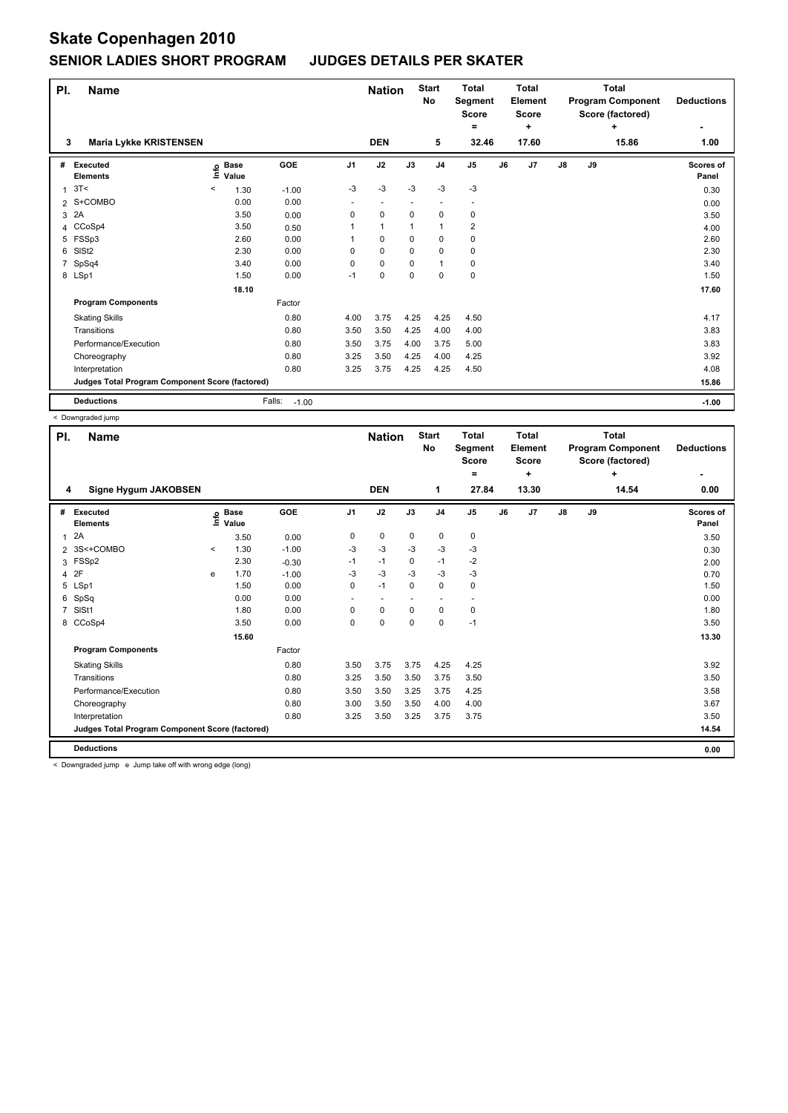## **Skate Copenhagen 2010 SENIOR LADIES SHORT PROGRAM JUDGES DETAILS PER SKATER**

| PI.          | <b>Name</b>                                     |                              |                   |                |              | <b>Nation</b> | <b>Start</b><br>No | <b>Total</b><br>Segment<br><b>Score</b><br>۰ | <b>Total</b><br>Element<br>Score |                | <b>Total</b><br><b>Program Component</b><br>Score (factored) |    | <b>Deductions</b> |                    |
|--------------|-------------------------------------------------|------------------------------|-------------------|----------------|--------------|---------------|--------------------|----------------------------------------------|----------------------------------|----------------|--------------------------------------------------------------|----|-------------------|--------------------|
| 3            | <b>Maria Lykke KRISTENSEN</b>                   |                              |                   |                | <b>DEN</b>   |               | 5                  | 32.46                                        |                                  | ٠<br>17.60     |                                                              |    | ÷<br>15.86        | 1.00               |
| #            | Executed<br><b>Elements</b>                     | <b>Base</b><br>١nfo<br>Value | GOE               | J <sub>1</sub> | J2           | J3            | J <sub>4</sub>     | J <sub>5</sub>                               | J6                               | J <sub>7</sub> | $\mathsf{J}8$                                                | J9 |                   | Scores of<br>Panel |
| $\mathbf{1}$ | 3T<                                             | $\,<\,$<br>1.30              | $-1.00$           | $-3$           | $-3$         | -3            | $-3$               | -3                                           |                                  |                |                                                              |    |                   | 0.30               |
|              | 2 S+COMBO                                       | 0.00                         | 0.00              | ٠              |              |               |                    |                                              |                                  |                |                                                              |    |                   | 0.00               |
| 3            | 2A                                              | 3.50                         | 0.00              | 0              | $\mathbf 0$  | $\Omega$      | 0                  | 0                                            |                                  |                |                                                              |    |                   | 3.50               |
|              | 4 CCoSp4                                        | 3.50                         | 0.50              | 1              | $\mathbf{1}$ | 1             | -1                 | $\overline{2}$                               |                                  |                |                                                              |    |                   | 4.00               |
| 5            | FSSp3                                           | 2.60                         | 0.00              |                | 0            | 0             | 0                  | 0                                            |                                  |                |                                                              |    |                   | 2.60               |
| 6            | SISt <sub>2</sub>                               | 2.30                         | 0.00              | 0              | $\mathbf 0$  | 0             | $\mathbf 0$        | $\pmb{0}$                                    |                                  |                |                                                              |    |                   | 2.30               |
| 7            | SpSq4                                           | 3.40                         | 0.00              | 0              | $\mathbf 0$  | 0             | $\overline{1}$     | $\pmb{0}$                                    |                                  |                |                                                              |    |                   | 3.40               |
|              | 8 LSp1                                          | 1.50                         | 0.00              | $-1$           | $\mathbf 0$  | 0             | 0                  | $\pmb{0}$                                    |                                  |                |                                                              |    |                   | 1.50               |
|              |                                                 | 18.10                        |                   |                |              |               |                    |                                              |                                  |                |                                                              |    |                   | 17.60              |
|              | <b>Program Components</b>                       |                              | Factor            |                |              |               |                    |                                              |                                  |                |                                                              |    |                   |                    |
|              | <b>Skating Skills</b>                           |                              | 0.80              | 4.00           | 3.75         | 4.25          | 4.25               | 4.50                                         |                                  |                |                                                              |    |                   | 4.17               |
|              | Transitions                                     |                              | 0.80              | 3.50           | 3.50         | 4.25          | 4.00               | 4.00                                         |                                  |                |                                                              |    |                   | 3.83               |
|              | Performance/Execution                           |                              | 0.80              | 3.50           | 3.75         | 4.00          | 3.75               | 5.00                                         |                                  |                |                                                              |    |                   | 3.83               |
|              | Choreography                                    |                              | 0.80              | 3.25           | 3.50         | 4.25          | 4.00               | 4.25                                         |                                  |                |                                                              |    |                   | 3.92               |
|              | Interpretation                                  |                              | 0.80              | 3.25           | 3.75         | 4.25          | 4.25               | 4.50                                         |                                  |                |                                                              |    |                   | 4.08               |
|              | Judges Total Program Component Score (factored) |                              |                   |                |              |               |                    |                                              |                                  |                |                                                              |    |                   | 15.86              |
|              | <b>Deductions</b>                               |                              | Falls:<br>$-1.00$ |                |              |               |                    |                                              |                                  |                |                                                              |    |                   | $-1.00$            |

< Downgraded jump

| PI.            | <b>Name</b>                                     |         | <b>Nation</b>              |         | <b>Start</b><br><b>Total</b><br>No<br>Segment<br>Score<br>$\equiv$ |             |          | Total<br>Element<br><b>Score</b><br>÷ |                | Total<br><b>Program Component</b><br>Score (factored) | <b>Deductions</b> |               |    |       |                    |
|----------------|-------------------------------------------------|---------|----------------------------|---------|--------------------------------------------------------------------|-------------|----------|---------------------------------------|----------------|-------------------------------------------------------|-------------------|---------------|----|-------|--------------------|
| 4              | Signe Hygum JAKOBSEN                            |         |                            |         |                                                                    | <b>DEN</b>  |          | 1                                     | 27.84          |                                                       | 13.30             |               |    | 14.54 | 0.00               |
| #              | Executed<br><b>Elements</b>                     |         | e Base<br>E Value<br>Value | GOE     | J <sub>1</sub>                                                     | J2          | J3       | J <sub>4</sub>                        | J <sub>5</sub> | J6                                                    | J <sub>7</sub>    | $\mathsf{J}8$ | J9 |       | Scores of<br>Panel |
| $\mathbf{1}$   | 2A                                              |         | 3.50                       | 0.00    | 0                                                                  | 0           | 0        | 0                                     | 0              |                                                       |                   |               |    |       | 3.50               |
|                | 2 3S<+COMBO                                     | $\prec$ | 1.30                       | $-1.00$ | $-3$                                                               | $-3$        | -3       | $-3$                                  | $-3$           |                                                       |                   |               |    |       | 0.30               |
|                | 3 FSSp2                                         |         | 2.30                       | $-0.30$ | $-1$                                                               | $-1$        | $\Omega$ | $-1$                                  | $-2$           |                                                       |                   |               |    |       | 2.00               |
|                | 4 2F                                            | e       | 1.70                       | $-1.00$ | $-3$                                                               | $-3$        | $-3$     | $-3$                                  | $-3$           |                                                       |                   |               |    |       | 0.70               |
|                | 5 LSp1                                          |         | 1.50                       | 0.00    | 0                                                                  | $-1$        | 0        | 0                                     | 0              |                                                       |                   |               |    |       | 1.50               |
| 6              | SpSq                                            |         | 0.00                       | 0.00    | ٠                                                                  |             |          | $\overline{\phantom{a}}$              |                |                                                       |                   |               |    |       | 0.00               |
| $\overline{7}$ | SISt1                                           |         | 1.80                       | 0.00    | 0                                                                  | 0           | $\Omega$ | $\mathbf 0$                           | 0              |                                                       |                   |               |    |       | 1.80               |
| 8              | CCoSp4                                          |         | 3.50                       | 0.00    | 0                                                                  | $\mathbf 0$ | 0        | $\mathbf 0$                           | $-1$           |                                                       |                   |               |    |       | 3.50               |
|                |                                                 |         | 15.60                      |         |                                                                    |             |          |                                       |                |                                                       |                   |               |    |       | 13.30              |
|                | <b>Program Components</b>                       |         |                            | Factor  |                                                                    |             |          |                                       |                |                                                       |                   |               |    |       |                    |
|                | <b>Skating Skills</b>                           |         |                            | 0.80    | 3.50                                                               | 3.75        | 3.75     | 4.25                                  | 4.25           |                                                       |                   |               |    |       | 3.92               |
|                | Transitions                                     |         |                            | 0.80    | 3.25                                                               | 3.50        | 3.50     | 3.75                                  | 3.50           |                                                       |                   |               |    |       | 3.50               |
|                | Performance/Execution                           |         |                            | 0.80    | 3.50                                                               | 3.50        | 3.25     | 3.75                                  | 4.25           |                                                       |                   |               |    |       | 3.58               |
|                | Choreography                                    |         |                            | 0.80    | 3.00                                                               | 3.50        | 3.50     | 4.00                                  | 4.00           |                                                       |                   |               |    |       | 3.67               |
|                | Interpretation                                  |         |                            | 0.80    | 3.25                                                               | 3.50        | 3.25     | 3.75                                  | 3.75           |                                                       |                   |               |    |       | 3.50               |
|                | Judges Total Program Component Score (factored) |         |                            |         |                                                                    |             |          |                                       |                |                                                       |                   |               |    |       | 14.54              |
|                | <b>Deductions</b>                               |         |                            |         |                                                                    |             |          |                                       |                |                                                       |                   |               |    |       | 0.00               |

< Downgraded jump e Jump take off with wrong edge (long)